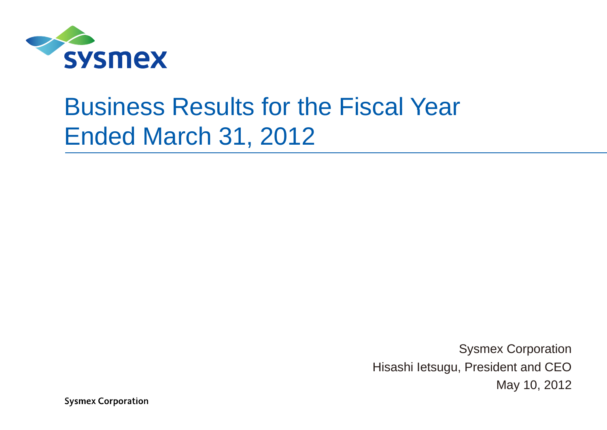

## Business Results for the Fiscal Year Ended March 31, 2012

Sysmex Corporation Hisashi letsugu, President and CEO May 10, 2012

**Sysmex Corporation**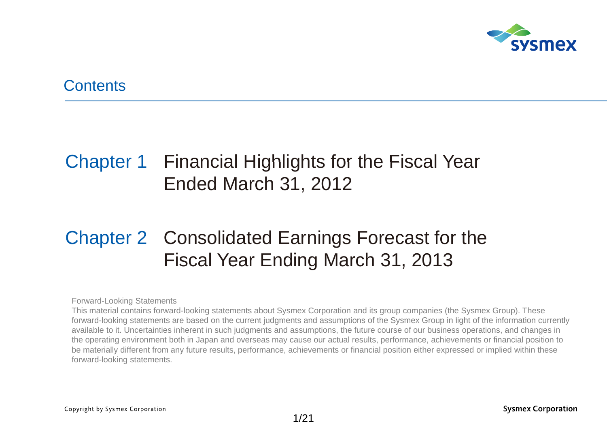

#### **Contents**

### Chapter 1 Financial Highlights for the Fiscal Year Ended March 31, 2012

### Chapter 2 Consolidated Earnings Forecast for the Fiscal Year Ending March 31, 2013

Forward-Looking Statements

This material contains forward-looking statements about Sysmex Corporation and its group companies (the Sysmex Group). These forward-looking statements are based on the current judgments and assumptions of the Sysmex Group in light of the information currently available to it. Uncertainties inherent in such judgments and assumptions, the future course of our business operations, and changes in the operating environment both in Japan and overseas may cause our actual results, performance, achievements or financial position to be materially different from any future results, performance, achievements or financial position either expressed or implied within these forward-looking statements.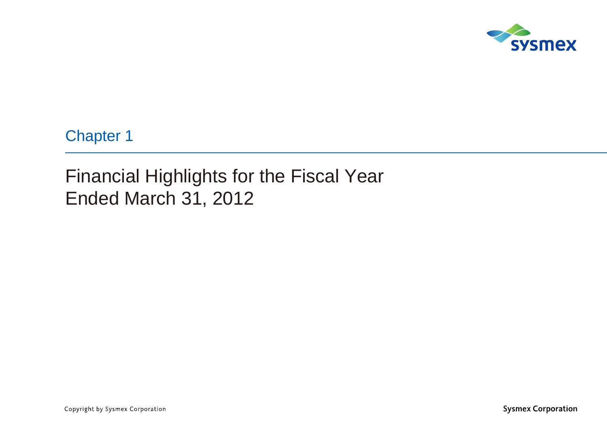

Chapter 1

Financial Highlights for the Fiscal Year Ended March 31, 2012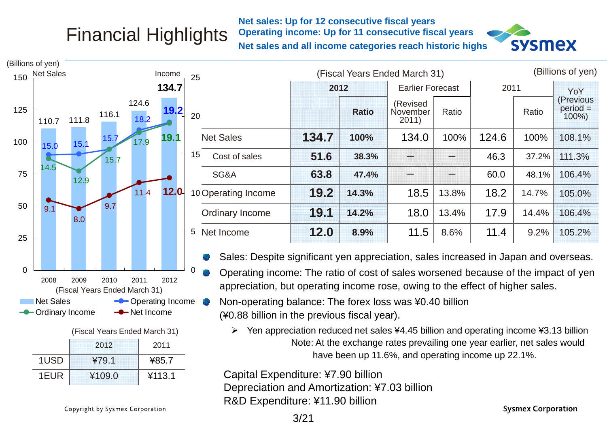## Financial Highlights

**Net sales: Up for 12 consecutive fiscal years Operating income: Up for 11 consecutive fiscal years Net sales and all income categories reach historic highs**



|     | (Billions of yen)                                     |                                           |                                                                                                                                                                          |       |              |                               |       |       |       |                                      |
|-----|-------------------------------------------------------|-------------------------------------------|--------------------------------------------------------------------------------------------------------------------------------------------------------------------------|-------|--------------|-------------------------------|-------|-------|-------|--------------------------------------|
|     | 150 Net Sales                                         | Income                                    | 25                                                                                                                                                                       |       |              | (Fiscal Years Ended March 31) |       |       |       | (Billions of yen)                    |
|     |                                                       | 134.7                                     |                                                                                                                                                                          | 2012  |              | <b>Earlier Forecast</b>       |       | 2011  |       | YoY                                  |
| 125 | 116.1<br>111.8<br>110.7                               | 124.6<br>19.2<br>18.2                     | 20                                                                                                                                                                       |       | <b>Ratio</b> | (Revised<br>November<br>2011) | Ratio |       | Ratio | (Previous<br>$period =$<br>$100\%$ ) |
| 100 | 15.7<br>15.7<br>15.0                                  | 19.1<br>17.9                              | <b>Net Sales</b>                                                                                                                                                         | 134.7 | 100%         | 134.0                         | 100%  | 124.6 | 100%  | 108.1%                               |
|     | 15.7                                                  |                                           | 15<br>Cost of sales                                                                                                                                                      | 51.6  | 38.3%        |                               |       | 46.3  | 37.2% | 111.3%                               |
| 75  | 14.5<br>12.9                                          |                                           | SG&A                                                                                                                                                                     | 63.8  | 47.4%        |                               |       | 60.0  | 48.1% | 106.4%                               |
|     |                                                       | 12.0<br>11.4                              | 10 Operating Income                                                                                                                                                      | 19.2  | 14.3%        | 18.5                          | 13.8% | 18.2  | 14.7% | 105.0%                               |
| 50  | 9.7<br>9.1<br>8.0                                     |                                           | <b>Ordinary Income</b>                                                                                                                                                   | 19.1  | 14.2%        | 18.0                          | 13.4% | 17.9  | 14.4% | 106.4%                               |
| 25  |                                                       |                                           | 5<br>Net Income                                                                                                                                                          | 12.0  | 8.9%         | 11.5                          | 8.6%  | 11.4  | 9.2%  | 105.2%                               |
|     |                                                       |                                           | Sales: Despite significant yen appreciation, sales increased in Japan and overseas.                                                                                      |       |              |                               |       |       |       |                                      |
| 0   | 2008<br>2009<br>2010<br>(Fiscal Years Ended March 31) | 2011<br>2012                              | 0<br>Operating income: The ratio of cost of sales worsened because of the impact of yen<br>appreciation, but operating income rose, owing to the effect of higher sales. |       |              |                               |       |       |       |                                      |
|     | <b>Net Sales</b><br><b>-</b> Ordinary Income          | <b>-</b> Operating Income<br>- Net Income | Non-operating balance: The forex loss was ¥0.40 billion<br>(¥0.88 billion in the previous fiscal year).                                                                  |       |              |                               |       |       |       |                                      |

 $\triangleright$  Yen appreciation reduced net sales ¥4.45 billion and operating income ¥3.13 billion Note: At the exchange rates prevailing one year earlier, net sales would have been up 11.6%, and operating income up 22.1%.

R ¥109.0 ¥113.1 Capital Expenditure: ¥7.90 billion Depreciation and Amortization: ¥7.03 billion R&D Expenditure: ¥11.90 billion

Copyright by Sysmex Corporation

2012

(Fiscal Years Ended March 31)

1USD ¥79.1

1EUR

2011

¥85.7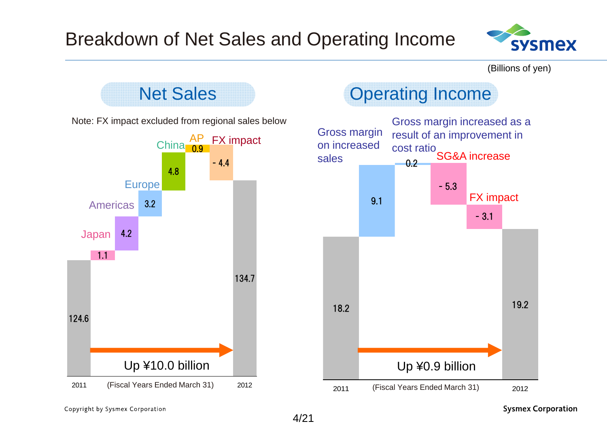

(Billions of yen)



Copyright by Sysmex Corporation

**Sysmex Corporation**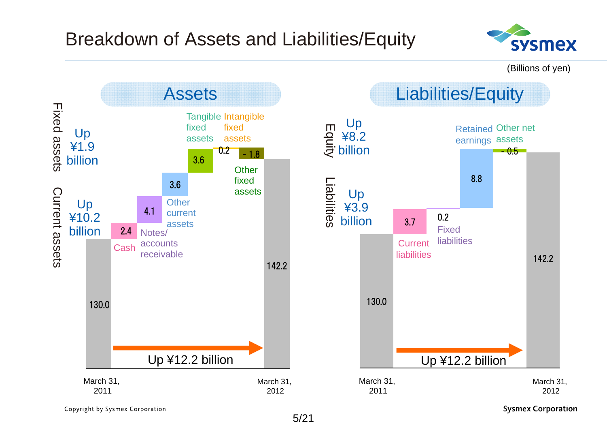

(Billions of yen)



Copyright by Sysmex Corporation

**Sysmex Corporation**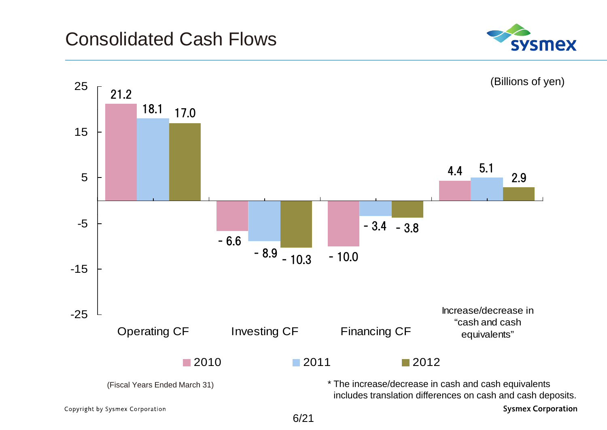#### Consolidated Cash Flows



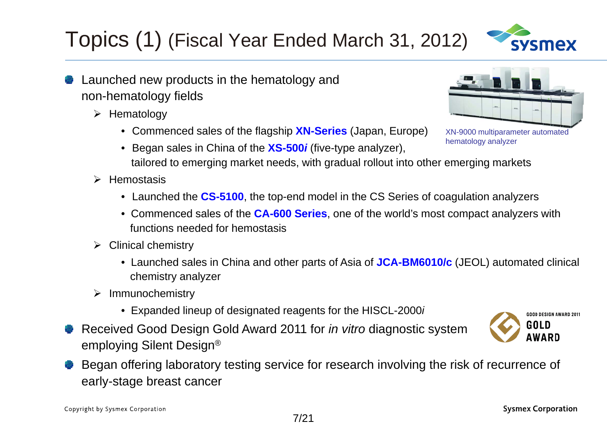#### Began offering laboratory testing service for research involving the risk of recurrence of early-stage breast cancer

7/21

**Sysmex Corporation** 

- Topics (1) (Fiscal Year Ended March 31, 2012)
- Launched new products in the hematology and non-hematology fields
	- $\triangleright$  Hematology
		- Commenced sales of the flagship **XN-Series** (Japan, Europe)
		- Began sales in China of the **XS-500***i* (five-type analyzer), tailored to emerging market needs, with gradual rollout into other emerging markets hematology analyzer
	- $\triangleright$  Hemostasis
		- Launched the **CS-5100**, the top-end model in the CS Series of coagulation analyzers
		- Commenced sales of the CA-600 Series, one of the world's most compact analyzers with functions needed for hemostasis
	- $\triangleright$  Clinical chemistry
		- Launched sales in China and other parts of Asia of JCA-BM6010/c (JEOL) automated clinical chemistry analyzer
	- $\triangleright$  Immunochemistry
		- Expanded lineup of designated reagents for the HISCL-2000*i*
- Received Good Design Gold Award 2011 for *in vitro* diagnostic system employing Silent Design®



GOOD DESIGN AWARD 2011

GOLD **AWARD** 



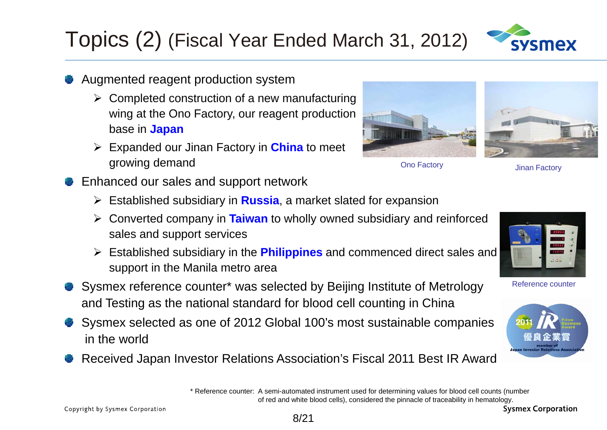Copyright by Sysmex Corporation

### Augmented reagent production system

- $\triangleright$  Completed construction of a new manufacturing wing at the Ono Factory, our reagent production base in **Japan**
- Expanded our Jinan Factory in **China** to meet growing demand and the state of the Constantine Changes on the Constantine Changes on the Constantine Changes on the Constantine Changes on the Constantine Changes on the Constantine Changes on the Constantine Changes on t
- Enhanced our sales and support network
	- Established subsidiary in **Russia**, a market slated for expansion

Topics (2) (Fiscal Year Ended March 31, 2012)

- > Converted company in Taiwan to wholly owned subsidiary and reinforced sales and support services
- Established subsidiary in the **Philippines** and commenced direct sales and support in the Manila metro area
- Sysmex reference counter\* was selected by Beijing Institute of Metrology and Testing as the national standard for blood cell counting in China
- Sysmex selected as one of 2012 Global 100's most sustainable companies in the world
- Received Japan Investor Relations Association's Fiscal 2011 Best IR Award

\* Reference counter: A semi-automated instrument used for determining values for blood cell counts (number of red and white blood cells), considered the pinnacle of traceability in hematology.





Reference counter



**Jinan Factory** 





**Sysmex Corporation** 

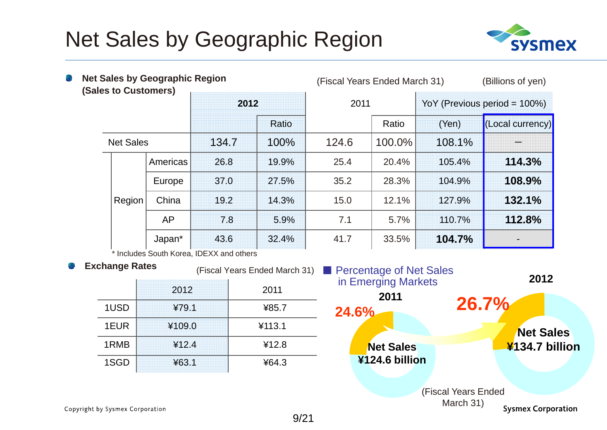### Net Sales by Geographic Region



| g,  | <b>Net Sales by Geographic Region</b><br>(Sales to Customers) |           |                                          |       | (Fiscal Years Ended March 31) |                                                       |        | (Billions of yen)            |  |
|-----|---------------------------------------------------------------|-----------|------------------------------------------|-------|-------------------------------|-------------------------------------------------------|--------|------------------------------|--|
|     |                                                               |           | 2012                                     |       |                               | 2011                                                  |        | YoY (Previous period = 100%) |  |
|     |                                                               |           |                                          | Ratio |                               | Ratio                                                 | (Yen)  | (Local currency)             |  |
|     | <b>Net Sales</b>                                              |           | 134.7                                    | 100%  | 124.6                         | 100.0%                                                | 108.1% |                              |  |
|     |                                                               | Americas  | 26.8                                     | 19.9% | 25.4                          | 20.4%                                                 | 105.4% | 114.3%                       |  |
|     |                                                               | Europe    | 37.0                                     | 27.5% | 35.2                          | 28.3%                                                 | 104.9% | 108.9%                       |  |
|     | Region                                                        | China     | 19.2                                     | 14.3% | 15.0                          | 12.1%                                                 | 127.9% | 132.1%                       |  |
|     |                                                               | <b>AP</b> | 7.8                                      | 5.9%  | 7.1                           | 5.7%                                                  | 110.7% | 112.8%                       |  |
|     |                                                               | Japan*    | 43.6                                     | 32.4% | 41.7                          | 33.5%                                                 | 104.7% |                              |  |
|     |                                                               |           | * Includes South Korea, IDEXX and others |       |                               |                                                       |        |                              |  |
| -33 | <b>Exchange Rates</b>                                         |           | (Fiscal Years Ended March 31)            |       |                               | <b>Percentage of Net Sales</b><br>in Emerging Markets |        | 2012                         |  |

|      | 2012   | 2011   |
|------|--------|--------|
| 1USD | ¥79.1  | ¥85.7  |
| 1EUR | ¥109.0 | ¥113.1 |
| 1RMB | 412.4  | ¥12.8  |
| 1SGD | 463.1  | 464.3  |



Copyright by Sysmex Corporation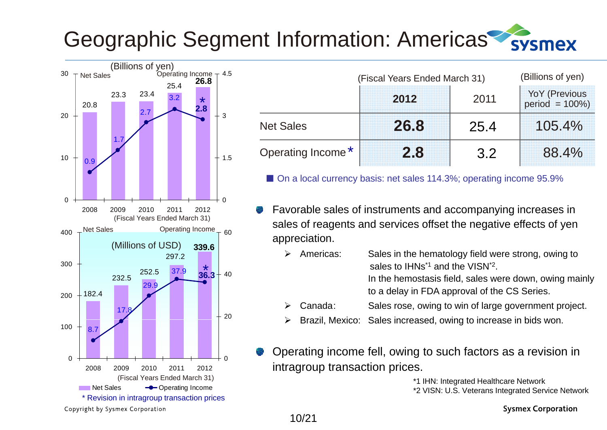#### Geographic Segment Information: Americas sysmex



| Net Sales | (Billions of yen) | Operating Income $\tau$ 4.5 | 26.8           |        |                               | (Fiscal Years Ended March 31) |      | (Billions of yen)                          |
|-----------|-------------------|-----------------------------|----------------|--------|-------------------------------|-------------------------------|------|--------------------------------------------|
| 20.8      | 23.4<br>23.3      | 25.4                        | $\star$<br>2.8 |        |                               | 2012                          | 2011 | <b>YoY (Previous)</b><br>$period = 100\%)$ |
|           |                   |                             |                | $+3$   | <b>Net Sales</b>              | 26.8                          | 25.4 | 105.4%                                     |
| 0.9       |                   |                             |                | $+1.5$ | Operating Income <sup>*</sup> | 2.8                           | 3.2  | 88.4%                                      |

■ On a local currency basis: net sales 114.3%; operating income 95.9%

- Favorable sales of instruments and accompanying increases in sales of reagents and services offset the negative effects of yen appreciation.
	- $\blacktriangleright$  Americas: Sales in the hematology field were strong, owing to sales to IHNs $^{\ast}$ 1 and the VISN $^{\ast}$ 2. In the hemostasis field, sales were down, owing mainly
		- to a delay in FDA approval of the CS Series.
	- $\blacktriangleright$ Canada: Sales rose, owing to win of large government project.
	- $\blacktriangleright$  $\triangleright$  Brazil, Mexico: Sales increased, owing to increase in bids won.
- Operating income fell, owing to such factors as a revision in intragroup transaction prices.

\*1 IHN: Integrated Healthcare Network \*2 VISN: U.S. Veterans Integrated Service Network

Copyright by Sysmex Corporation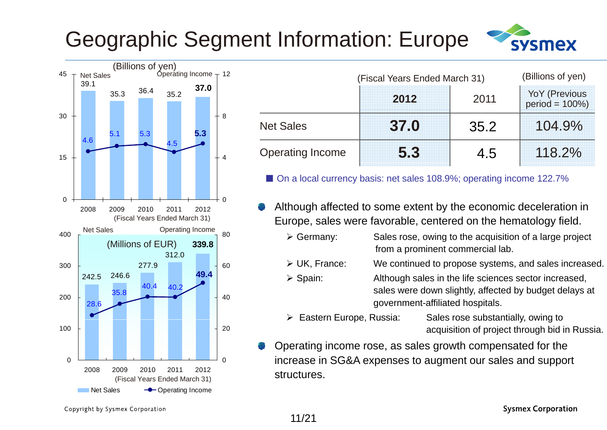## Geographic Segment Information: Europe





| Net Sales<br>39.1 |      | Operating Income $-12$ |      |  |      |       |                         | (Fiscal Years Ended March 31) |      |                                  |
|-------------------|------|------------------------|------|--|------|-------|-------------------------|-------------------------------|------|----------------------------------|
|                   | 35.3 | 36.4                   | 35.2 |  | 37.0 |       |                         | 2012                          | 2011 | YoY (Previous<br>$period = 100%$ |
|                   |      |                        |      |  | 5.3  | $+~8$ | <b>Net Sales</b>        | 37.0                          | 35.2 | 104.9%                           |
| 4.6               |      |                        |      |  |      |       | <b>Operating Income</b> | 5.3                           | 4.5  | 118.2%                           |

■ On a local currency basis: net sales 108.9%; operating income 122.7%

Although affected to some extent by the economic deceleration in Ended March 31) **Europe, sales were favorable, centered on the hematology field.**<br>Operating Income

| $\triangleright$ Germany: | Sales rose, owing to the acquisition of a large project |
|---------------------------|---------------------------------------------------------|
|                           | from a prominent commercial lab.                        |

- > UK. France:  $_0$   $\longrightarrow$  UK, France: We continued to propose systems, and sales increased.
	- $\triangleright$  Spain: Although sales in the life sciences sector increased, sales were down slightly, affected by budget delays at government-affiliated hospitals.
		- > Eastern Europe, Russia: Sales rose substantially, owing to acquisition of project through bid in Russia.
	- Operating income rose, as sales growth compensated for the increase in SG&A expenses to augment our sales and support structures.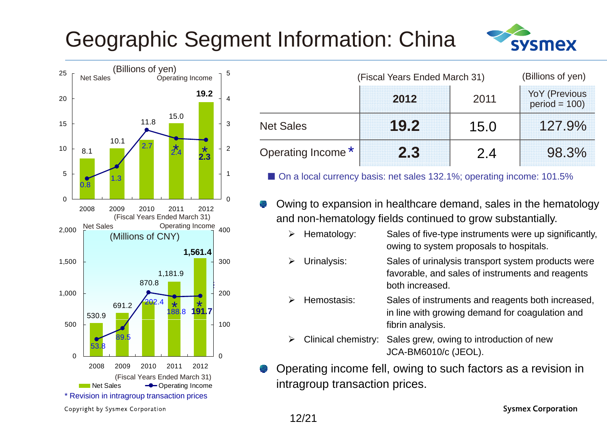## Geographic Segment Information: China





| <b>UNIUTED</b> UP YELL!<br>Operating Income |    |                    | (Fiscal Years Ended March 31) | (Billions of yen) |                                 |
|---------------------------------------------|----|--------------------|-------------------------------|-------------------|---------------------------------|
| 19.2                                        |    |                    | 2012                          | 2011              | YoY (Previous<br>$period = 100$ |
| 15.0<br>11.8                                | -3 | <b>Net Sales</b>   | 19.2                          | 15.0              | 127.9%                          |
| 10.1<br>$\overline{2.4}^*$<br>2.3           | 2  | Operating Income * | 2.3                           | 2.4               | 98.3%                           |

<sup>1</sup> ■ On a local currency basis: net sales 132.1%; operating income: 101.5%

- Owing to expansion in healthcare demand, sales in the hematology and non-hematology fields continued to grow substantially.
	- $\blacktriangleright$ Hematology: Sales of five-type instruments were up significantly, owing to system proposals to hospitals.
	- $\blacktriangleright$  Urinalysis: Sales of urinalysis transport system products were favorable, and sales of instruments and reagents both increased.
		- $\blacktriangleright$  Hemostasis: Sales of instruments and reagents both increased, in line with growing demand for coagulation and fibrin analysis.
	- $\blacktriangleright$  Clinical chemistry: Sales grew, owing to introduction of new JCA-BM6010/c (JEOL).
- Operating income fell, owing to such factors as <sup>a</sup> revision in intragroup transaction prices.

Copyright by Sysmex Corporation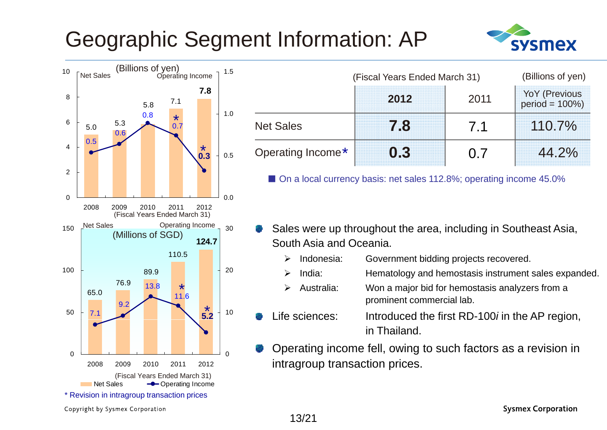### Geographic Segment Information: AP





| Original Superity<br>  Operating Income<br>1.5 |                   | (Fiscal Years Ended March 31) |      | (Billions of yen)                  |
|------------------------------------------------|-------------------|-------------------------------|------|------------------------------------|
| 7.8<br>7.1<br>5.8                              |                   | 2012                          | 2011 | YoY (Previous<br>$period = 100\%)$ |
| 1.0<br>0.8<br>$\star$<br>5.3<br>0.7<br>0.6     | <b>Net Sales</b>  |                               |      | 110.7%                             |
| $\star$<br>0.5<br>0.3                          | Operating Income* | 02                            |      | 44.2%                              |

■ On a local currency basis: net sales 112.8%; operating income 45.0%

- Sales were up throughout the area, including in Southeast Asia, South Asia and Oceania.
	- ↘ Indonesia: Government bidding projects recovered.
	- $\blacktriangleright$ India: Hematology and hemostasis instrument sales expanded.
	- $\blacktriangleright$  Australia: Won a major bid for hemostasis analyzers from a prominent commercial lab.
	- Life sciences:e sciences: Introduced the first RD-100*i* in the AP region, in Thailand.
- Operating income fell, owing to such factors as a revision in intragroup transaction prices.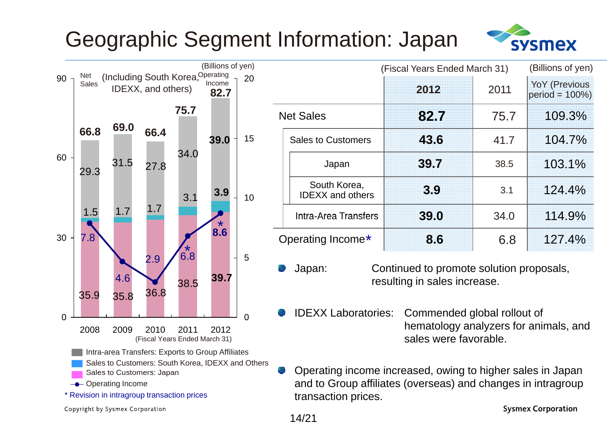## Geographic Segment Information: Japan



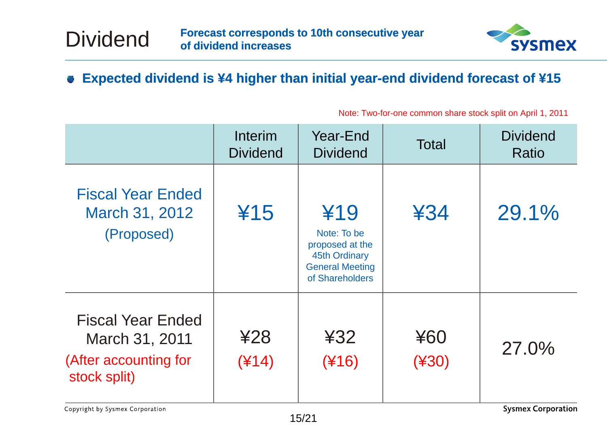

#### **■ Expected dividend is ¥4 higher than initial year-end dividend forecast of ¥15**

|                                                                                     | <b>Interim</b><br><b>Dividend</b> | Year-End<br><b>Dividend</b>                                                                                | <b>Total</b>   | <b>Dividend</b><br>Ratio |
|-------------------------------------------------------------------------------------|-----------------------------------|------------------------------------------------------------------------------------------------------------|----------------|--------------------------|
| <b>Fiscal Year Ended</b><br>March 31, 2012<br>(Proposed)                            | ¥15                               | ¥19<br>Note: To be<br>proposed at the<br><b>45th Ordinary</b><br><b>General Meeting</b><br>of Shareholders | 434            | 29.1%                    |
| <b>Fiscal Year Ended</b><br>March 31, 2011<br>(After accounting for<br>stock split) | 428<br>$(*14)$                    | 432<br>$(*16)$                                                                                             | ¥60<br>$(*30)$ | 27.0%                    |

Note: Two-for-one common share stock split on April 1, 2011

Dividend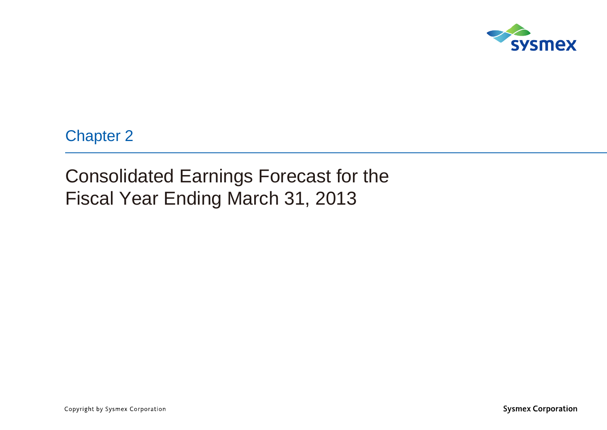

Chapter 2

Consolidated Earnings Forecast for the Fiscal Year Ending March 31, 2013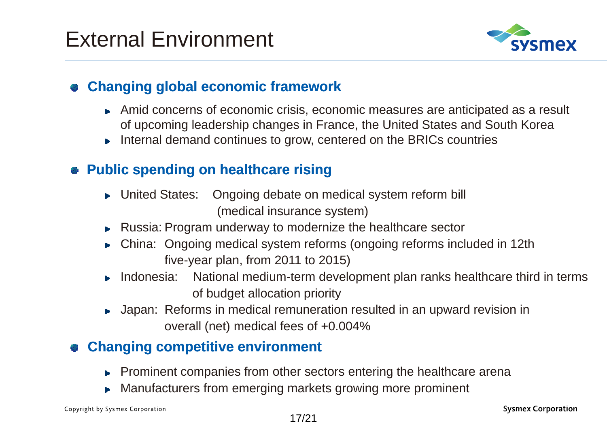

#### **Changing global economic framework**

- Amid concerns of economic crisis, economic measures are anticipated as a result of upcoming leadership changes in France, the United States and South Korea
- $\triangleright$  Internal demand continues to grow, centered on the BRICs countries

#### **Public spending on healthcare rising**

- ► United States: Ongoing debate on medical system reform bill (medical insurance system)
- ► Russia: Program underway to modernize the healthcare sector
- China: Ongoing medical system reforms (ongoing reforms included in 12th five-year plan, from 2011 to 2015)
- ► Indonesia: National medium-term development plan ranks healthcare third in terms of budget allocation priority
- ▶ Japan: Reforms in medical remuneration resulted in an upward revision in overall (net) medical fees of +0.004%

#### **Changing competitive environment**

- Prominent companies from other sectors entering the healthcare arena
- Manufacturers from emerging markets growing more prominent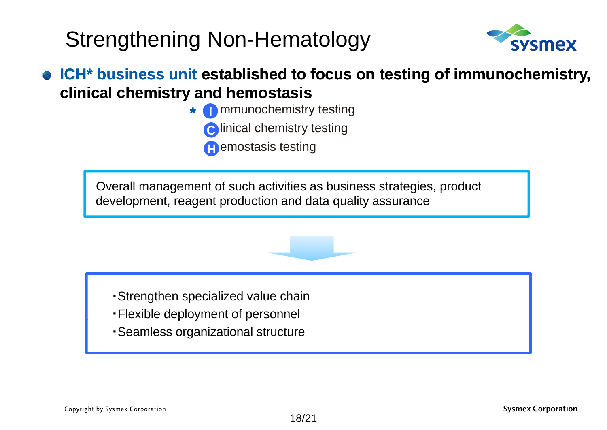### Strengthening Non-Hematology

**\***



#### **ICH\* business unit established to focus on testing of immunochemistry, clinical chemistry and hemostasis**

- \* **O** mmunochemistry testing
	- **C** linical chemistry testing
	- **H**emostasis testing

Overall management of such activities as business strategies, product development, reagent production and data quality assurance

- ・Strengthen specialized value chain
- · Flexible deployment of personnel
- ・Seamless organizational structure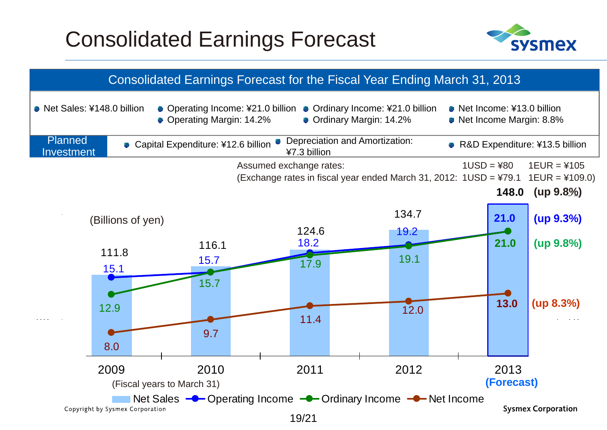### Consolidated Earnings Forecast



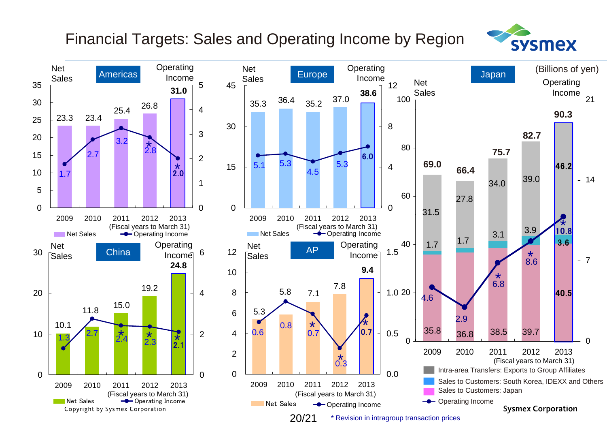#### Financial Targets: Sales and Operating Income by Region



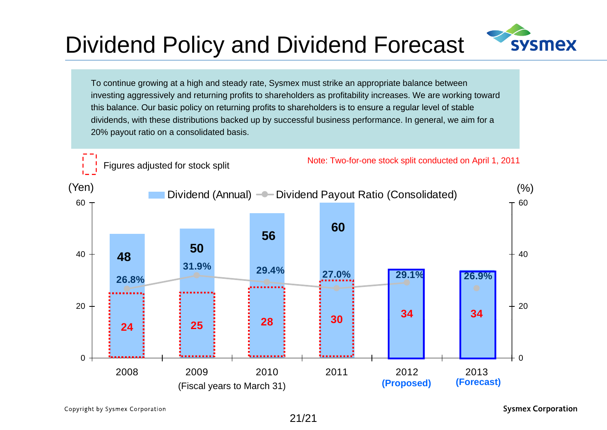## Dividend Policy and Dividend Forecast



To continue growing at a high and steady rate, Sysmex must strike an appropriate balance between investing aggressively and returning profits to shareholders as profitability increases. We are working toward this balance. Our basic policy on returning profits to shareholders is to ensure <sup>a</sup> regular level of stable dividends, with these distributions backed up by successful business performance. In general, we aim for a 20% payout ratio on a consolidated basis.